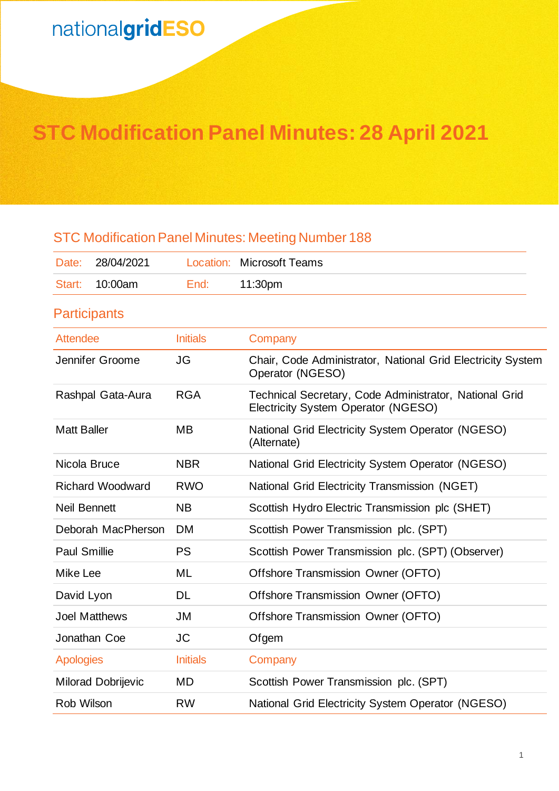## **STC Modification Panel Minutes: 28 April 2021**

## STC Modification Panel Minutes: Meeting Number 188

| Date:                   | 28/04/2021           |                 | <b>Location: Microsoft Teams</b>                                                              |
|-------------------------|----------------------|-----------------|-----------------------------------------------------------------------------------------------|
| Start:                  | 10:00am              | End:            | 11:30pm                                                                                       |
|                         | <b>Participants</b>  |                 |                                                                                               |
| <b>Attendee</b>         |                      | <b>Initials</b> | Company                                                                                       |
| Jennifer Groome         |                      | JG              | Chair, Code Administrator, National Grid Electricity System<br>Operator (NGESO)               |
| Rashpal Gata-Aura       |                      | <b>RGA</b>      | Technical Secretary, Code Administrator, National Grid<br>Electricity System Operator (NGESO) |
| <b>Matt Baller</b>      |                      | MВ              | National Grid Electricity System Operator (NGESO)<br>(Alternate)                              |
| Nicola Bruce            |                      | <b>NBR</b>      | National Grid Electricity System Operator (NGESO)                                             |
| <b>Richard Woodward</b> |                      | <b>RWO</b>      | National Grid Electricity Transmission (NGET)                                                 |
| <b>Neil Bennett</b>     |                      | <b>NB</b>       | Scottish Hydro Electric Transmission plc (SHET)                                               |
| Deborah MacPherson      |                      | <b>DM</b>       | Scottish Power Transmission plc. (SPT)                                                        |
| <b>Paul Smillie</b>     |                      | <b>PS</b>       | Scottish Power Transmission plc. (SPT) (Observer)                                             |
| Mike Lee                |                      | ML              | Offshore Transmission Owner (OFTO)                                                            |
| David Lyon              |                      | DL              | Offshore Transmission Owner (OFTO)                                                            |
|                         | <b>Joel Matthews</b> | <b>JM</b>       | Offshore Transmission Owner (OFTO)                                                            |
|                         | Jonathan Coe         | <b>JC</b>       | Ofgem                                                                                         |
| <b>Apologies</b>        |                      | <b>Initials</b> | Company                                                                                       |
| Milorad Dobrijevic      |                      | MD              | Scottish Power Transmission plc. (SPT)                                                        |
| Rob Wilson              |                      | <b>RW</b>       | National Grid Electricity System Operator (NGESO)                                             |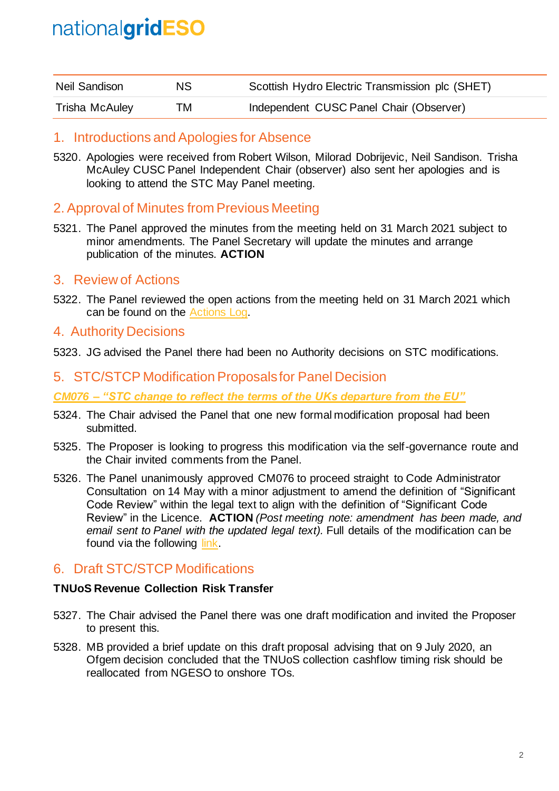| Neil Sandison  | NS. | Scottish Hydro Electric Transmission plc (SHET) |
|----------------|-----|-------------------------------------------------|
| Trisha McAuley | TM  | Independent CUSC Panel Chair (Observer)         |

### 1. Introductions and Apologies for Absence

5320. Apologies were received from Robert Wilson, Milorad Dobrijevic, Neil Sandison. Trisha McAuley CUSC Panel Independent Chair (observer) also sent her apologies and is looking to attend the STC May Panel meeting.

## 2. Approval of Minutes from Previous Meeting

5321. The Panel approved the minutes from the meeting held on 31 March 2021 subject to minor amendments. The Panel Secretary will update the minutes and arrange publication of the minutes. **ACTION**

## 3. Review of Actions

5322. The Panel reviewed the open actions from the meeting held on 31 March 2021 which can be found on the [Actions Log.](https://www.nationalgrideso.com/industry-information/codes/system-operator-transmission-owner-code-stc-old/meetings/stc-panel-33)

### 4. Authority Decisions

5323. JG advised the Panel there had been no Authority decisions on STC modifications.

### 5. STC/STCP Modification Proposalsfor Panel Decision

*CM076 – "STC change to reflect the terms of the UKs departure from the EU"*

- 5324. The Chair advised the Panel that one new formal modification proposal had been submitted.
- 5325. The Proposer is looking to progress this modification via the self-governance route and the Chair invited comments from the Panel.
- 5326. The Panel unanimously approved CM076 to proceed straight to Code Administrator Consultation on 14 May with a minor adjustment to amend the definition of "Significant Code Review" within the legal text to align with the definition of "Significant Code Review" in the Licence. **ACTION** *(Post meeting note: amendment has been made, and email sent to Panel with the updated legal text).* Full details of the modification can be found via the following [link.](https://www.nationalgrideso.com/industry-information/codes/system-operator-transmission-owner-code-stc-old/modifications/cm076-stcp)

## 6. Draft STC/STCP Modifications

#### **TNUoS Revenue Collection Risk Transfer**

- 5327. The Chair advised the Panel there was one draft modification and invited the Proposer to present this.
- 5328. MB provided a brief update on this draft proposal advising that on 9 July 2020, an Ofgem decision concluded that the TNUoS collection cashflow timing risk should be reallocated from NGESO to onshore TOs.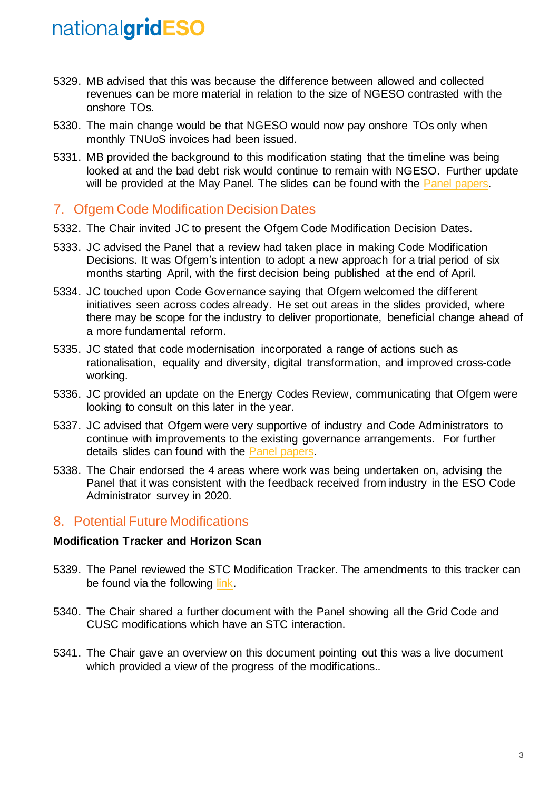- 5329. MB advised that this was because the difference between allowed and collected revenues can be more material in relation to the size of NGESO contrasted with the onshore TOs.
- 5330. The main change would be that NGESO would now pay onshore TOs only when monthly TNUoS invoices had been issued.
- 5331. MB provided the background to this modification stating that the timeline was being looked at and the bad debt risk would continue to remain with NGESO. Further update will be provided at the May Panel. The slides can be found with the [Panel papers.](https://www.nationalgrideso.com/industry-information/codes/system-operator-transmission-owner-code-stc-old/meetings/stc-panel-15)

### 7. Ofgem Code Modification Decision Dates

- 5332. The Chair invited JC to present the Ofgem Code Modification Decision Dates.
- 5333. JC advised the Panel that a review had taken place in making Code Modification Decisions. It was Ofgem's intention to adopt a new approach for a trial period of six months starting April, with the first decision being published at the end of April.
- 5334. JC touched upon Code Governance saying that Ofgem welcomed the different initiatives seen across codes already. He set out areas in the slides provided, where there may be scope for the industry to deliver proportionate, beneficial change ahead of a more fundamental reform.
- 5335. JC stated that code modernisation incorporated a range of actions such as rationalisation, equality and diversity, digital transformation, and improved cross-code working.
- 5336. JC provided an update on the Energy Codes Review, communicating that Ofgem were looking to consult on this later in the year.
- 5337. JC advised that Ofgem were very supportive of industry and Code Administrators to continue with improvements to the existing governance arrangements. For further details slides can found with the [Panel papers.](https://www.nationalgrideso.com/industry-information/codes/system-operator-transmission-owner-code-stc-old/meetings/stc-panel-15)
- 5338. The Chair endorsed the 4 areas where work was being undertaken on, advising the Panel that it was consistent with the feedback received from industry in the ESO Code Administrator survey in 2020.

### 8. Potential Future Modifications

#### **Modification Tracker and Horizon Scan**

- 5339. The Panel reviewed the STC Modification Tracker. The amendments to this tracker can be found via the following [link.](https://www.nationalgrideso.com/industry-information/codes/system-operator-transmission-owner-code-stc-old/meetings/stc-panel-15)
- 5340. The Chair shared a further document with the Panel showing all the Grid Code and CUSC modifications which have an STC interaction.
- 5341. The Chair gave an overview on this document pointing out this was a live document which provided a view of the progress of the modifications..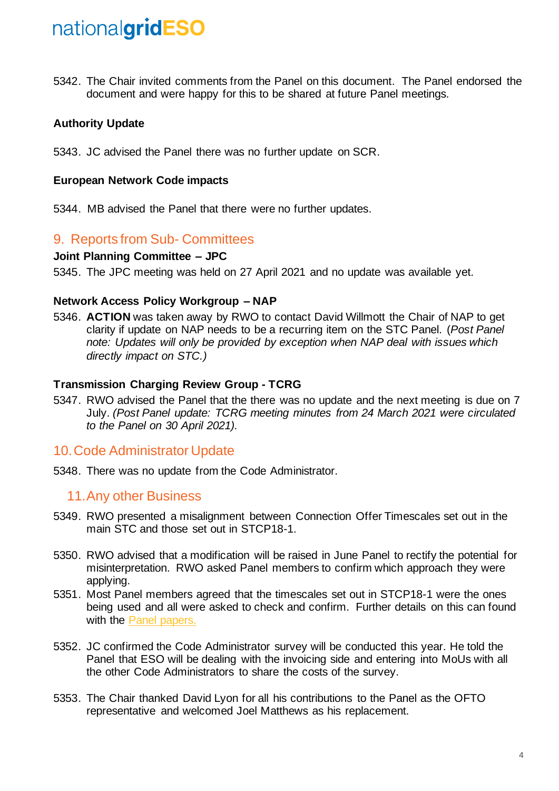5342. The Chair invited comments from the Panel on this document. The Panel endorsed the document and were happy for this to be shared at future Panel meetings.

#### **Authority Update**

5343. JC advised the Panel there was no further update on SCR.

#### **European Network Code impacts**

5344. MB advised the Panel that there were no further updates.

#### 9. Reports from Sub- Committees

#### **Joint Planning Committee – JPC**

5345. The JPC meeting was held on 27 April 2021 and no update was available yet.

#### **Network Access Policy Workgroup – NAP**

5346. **ACTION** was taken away by RWO to contact David Willmott the Chair of NAP to get clarity if update on NAP needs to be a recurring item on the STC Panel. (*Post Panel note: Updates will only be provided by exception when NAP deal with issues which directly impact on STC.)*

#### **Transmission Charging Review Group - TCRG**

5347. RWO advised the Panel that the there was no update and the next meeting is due on 7 July. *(Post Panel update: TCRG meeting minutes from 24 March 2021 were circulated to the Panel on 30 April 2021).*

### 10.Code Administrator Update

5348. There was no update from the Code Administrator.

#### 11.Any other Business

- 5349. RWO presented a misalignment between Connection Offer Timescales set out in the main STC and those set out in STCP18-1.
- 5350. RWO advised that a modification will be raised in June Panel to rectify the potential for misinterpretation. RWO asked Panel members to confirm which approach they were applying.
- 5351. Most Panel members agreed that the timescales set out in STCP18-1 were the ones being used and all were asked to check and confirm. Further details on this can found with the [Panel papers.](https://www.nationalgrideso.com/industry-information/codes/system-operator-transmission-owner-code-stc-old/meetings/stc-panel-15)
- 5352. JC confirmed the Code Administrator survey will be conducted this year. He told the Panel that ESO will be dealing with the invoicing side and entering into MoUs with all the other Code Administrators to share the costs of the survey.
- 5353. The Chair thanked David Lyon for all his contributions to the Panel as the OFTO representative and welcomed Joel Matthews as his replacement.